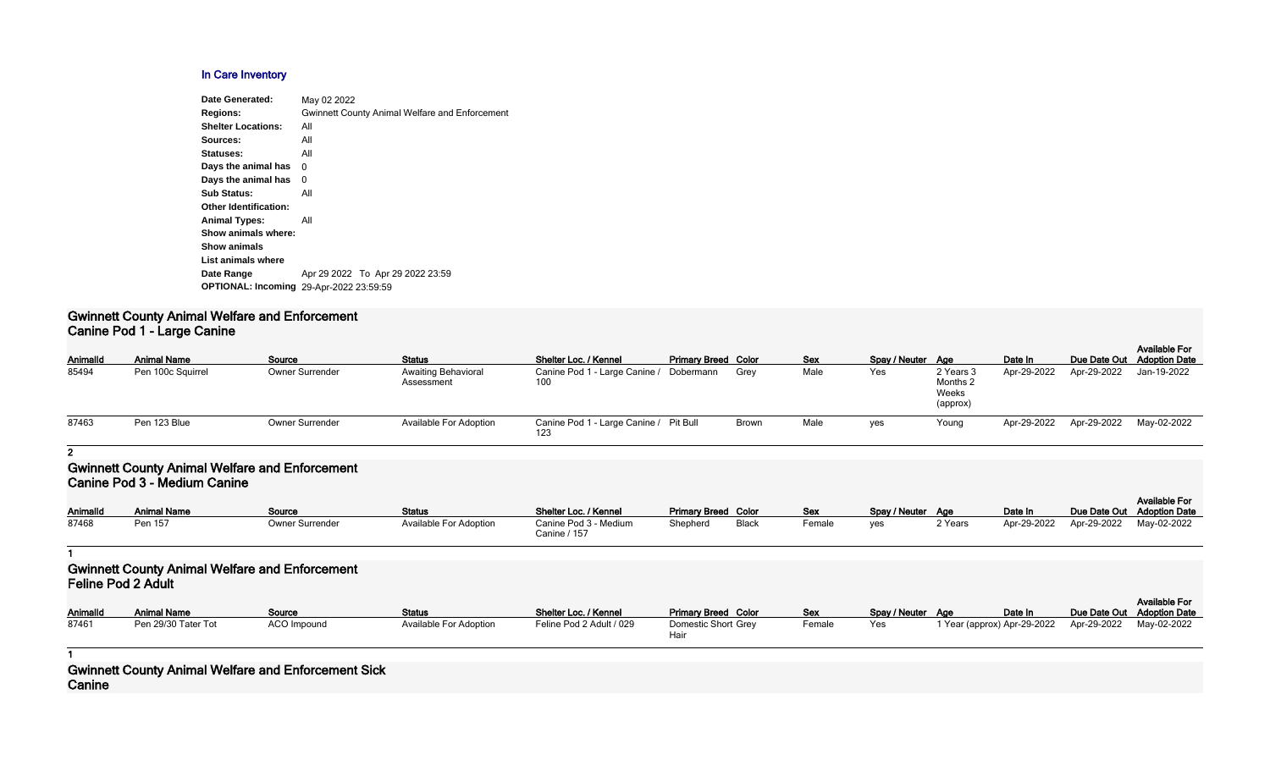# **In Care Inventory**

| Date Generated:                                | May 02 2022                                           |
|------------------------------------------------|-------------------------------------------------------|
| <b>Regions:</b>                                | <b>Gwinnett County Animal Welfare and Enforcement</b> |
| <b>Shelter Locations:</b>                      | All                                                   |
| Sources:                                       | All                                                   |
| Statuses:                                      | All                                                   |
| Days the animal has                            | 0                                                     |
| Days the animal has                            | 0                                                     |
| <b>Sub Status:</b>                             | All                                                   |
| <b>Other Identification:</b>                   |                                                       |
| <b>Animal Types:</b>                           | All                                                   |
| Show animals where:                            |                                                       |
| <b>Show animals</b>                            |                                                       |
| List animals where                             |                                                       |
| Date Range                                     | Apr 29 2022 To Apr 29 2022 23:59                      |
| <b>OPTIONAL: Incoming 29-Apr-2022 23:59:59</b> |                                                       |
|                                                |                                                       |

### **Gwinnett County Animal Welfare and Enforcement Canine Pod 1 - Large Canine**

|                 |                                     |                                                       |                                   |                                               |                             |              |            |                   |                                            |             |              | <b>Available For</b>                         |
|-----------------|-------------------------------------|-------------------------------------------------------|-----------------------------------|-----------------------------------------------|-----------------------------|--------------|------------|-------------------|--------------------------------------------|-------------|--------------|----------------------------------------------|
| Animalld        | <b>Animal Name</b>                  | Source                                                | <b>Status</b>                     | Shelter Loc. / Kennel                         | <b>Primary Breed Color</b>  |              | <b>Sex</b> | Spay / Neuter Age |                                            | Date In     | Due Date Out | <b>Adoption Date</b>                         |
| 85494           | Pen 100c Squirrel                   | <b>Owner Surrender</b>                                | Awaiting Behavioral<br>Assessment | Canine Pod 1 - Large Canine /<br>100          | Dobermann                   | Grey         | Male       | Yes               | 2 Years 3<br>Months 2<br>Weeks<br>(approx) | Apr-29-2022 | Apr-29-2022  | Jan-19-2022                                  |
| 87463           | Pen 123 Blue                        | <b>Owner Surrender</b>                                | Available For Adoption            | Canine Pod 1 - Large Canine / Pit Bull<br>123 |                             | Brown        | Male       | yes               | Young                                      | Apr-29-2022 | Apr-29-2022  | May-02-2022                                  |
| $\overline{2}$  |                                     |                                                       |                                   |                                               |                             |              |            |                   |                                            |             |              |                                              |
|                 | <b>Canine Pod 3 - Medium Canine</b> | <b>Gwinnett County Animal Welfare and Enforcement</b> |                                   |                                               |                             |              |            |                   |                                            |             |              | <b>Available For</b>                         |
| <b>AnimalId</b> | <b>Animal Name</b>                  | Source                                                | <b>Status</b>                     | Shelter Loc. / Kennel                         | <b>Primary Breed Color</b>  |              | Sex        | Spay / Neuter Age |                                            | Date In     | Due Date Out | <b>Adoption Date</b>                         |
| 87468           | Pen 157                             | Owner Surrender                                       | Available For Adoption            | Canine Pod 3 - Medium<br>Canine / 157         | Shepherd                    | <b>Black</b> | Female     | yes               | 2 Years                                    | Apr-29-2022 | Apr-29-2022  | May-02-2022                                  |
|                 |                                     |                                                       |                                   |                                               |                             |              |            |                   |                                            |             |              |                                              |
|                 | <b>Feline Pod 2 Adult</b>           | <b>Gwinnett County Animal Welfare and Enforcement</b> |                                   |                                               |                             |              |            |                   |                                            |             |              |                                              |
| AnimalId        | <b>Animal Name</b>                  | Source                                                | <b>Status</b>                     | Shelter Loc. / Kennel                         | <b>Primary Breed Color</b>  |              | Sex        | Spay / Neuter Age |                                            | Date In     | Due Date Out | <b>Available For</b><br><b>Adoption Date</b> |
| 87461           | Pen 29/30 Tater Tot                 | ACO Impound                                           | Available For Adoption            | Feline Pod 2 Adult / 029                      | Domestic Short Grey<br>Hair |              | Female     | Yes               | 1 Year (approx) Apr-29-2022                |             | Apr-29-2022  | May-02-2022                                  |
|                 |                                     |                                                       |                                   |                                               |                             |              |            |                   |                                            |             |              |                                              |

| Animalld | <b>Animal Name</b>  | Source             | Status                 | Shelter Loc. / Kennel    | <b>Primary Breed Color</b>  | <b>Sex</b>           |
|----------|---------------------|--------------------|------------------------|--------------------------|-----------------------------|----------------------|
| 87461    | Pen 29/30 Tater Tot | <b>ACO Impound</b> | Available For Adoption | Feline Pod 2 Adult / 029 | Domestic Short Grey<br>Hair | $E$ <sub>emale</sub> |

**1**

**Gwinnett County Animal Welfare and Enforcement Sick Canine**